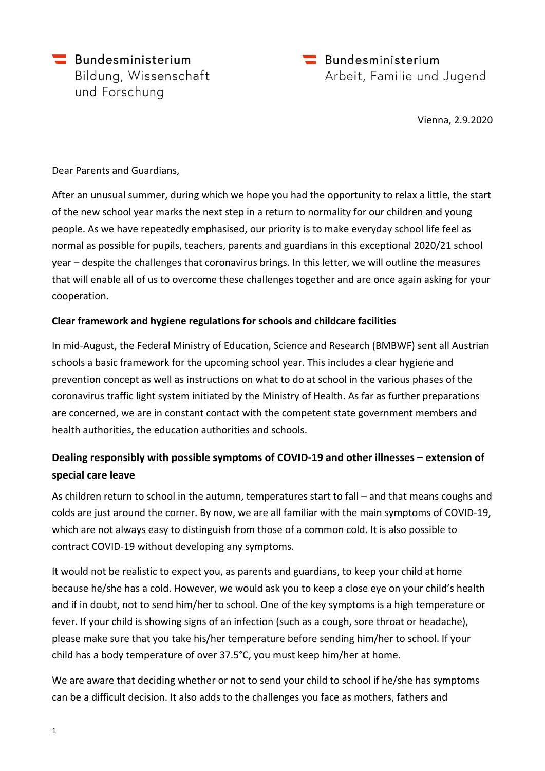Bundesministerium Bildung, Wissenschaft und Forschung

 $\equiv$  Bundesministerium Arbeit, Familie und Jugend

Vienna, 2.9.2020

Dear Parents and Guardians,

After an unusual summer, during which we hope you had the opportunity to relax a little, the start of the new school year marks the next step in a return to normality for our children and young people. As we have repeatedly emphasised, our priority is to make everyday school life feel as normal as possible for pupils, teachers, parents and guardians in this exceptional 2020/21 school year – despite the challenges that coronavirus brings. In this letter, we will outline the measures that will enable all of us to overcome these challenges together and are once again asking for your cooperation.

### **Clear framework and hygiene regulations for schools and childcare facilities**

In mid-August, the Federal Ministry of Education, Science and Research (BMBWF) sent all Austrian schools a basic framework for the upcoming school year. This includes a clear hygiene and prevention concept as well as instructions on what to do at school in the various phases of the coronavirus traffic light system initiated by the Ministry of Health. As far as further preparations are concerned, we are in constant contact with the competent state government members and health authorities, the education authorities and schools.

### **Dealing responsibly with possible symptoms of COVID-19 and other illnesses – extension of special care leave**

As children return to school in the autumn, temperatures start to fall – and that means coughs and colds are just around the corner. By now, we are all familiar with the main symptoms of COVID-19, which are not always easy to distinguish from those of a common cold. It is also possible to contract COVID-19 without developing any symptoms.

It would not be realistic to expect you, as parents and guardians, to keep your child at home because he/she has a cold. However, we would ask you to keep a close eye on your child's health and if in doubt, not to send him/her to school. One of the key symptoms is a high temperature or fever. If your child is showing signs of an infection (such as a cough, sore throat or headache), please make sure that you take his/her temperature before sending him/her to school. If your child has a body temperature of over 37.5°C, you must keep him/her at home.

We are aware that deciding whether or not to send your child to school if he/she has symptoms can be a difficult decision. It also adds to the challenges you face as mothers, fathers and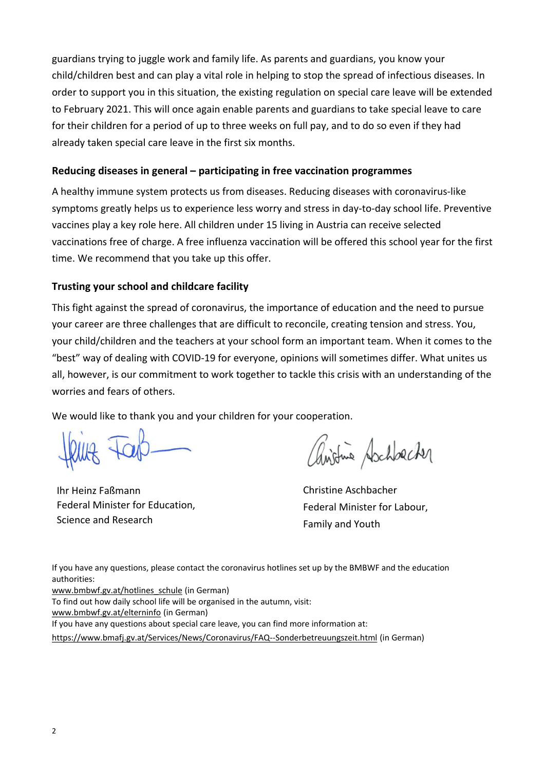guardians trying to juggle work and family life. As parents and guardians, you know your child/children best and can play a vital role in helping to stop the spread of infectious diseases. In order to support you in this situation, the existing regulation on special care leave will be extended to February 2021. This will once again enable parents and guardians to take special leave to care for their children for a period of up to three weeks on full pay, and to do so even if they had already taken special care leave in the first six months.

### **Reducing diseases in general – participating in free vaccination programmes**

A healthy immune system protects us from diseases. Reducing diseases with coronavirus-like symptoms greatly helps us to experience less worry and stress in day-to-day school life. Preventive vaccines play a key role here. All children under 15 living in Austria can receive selected vaccinations free of charge. A free influenza vaccination will be offered this school year for the first time. We recommend that you take up this offer.

### **Trusting your school and childcare facility**

This fight against the spread of coronavirus, the importance of education and the need to pursue your career are three challenges that are difficult to reconcile, creating tension and stress. You, your child/children and the teachers at your school form an important team. When it comes to the "best" way of dealing with COVID-19 for everyone, opinions will sometimes differ. What unites us all, however, is our commitment to work together to tackle this crisis with an understanding of the worries and fears of others.

We would like to thank you and your children for your cooperation.

Ihr Heinz Faßmann Federal Minister for Education, Science and Research

with Aschbacher

Christine Aschbacher Federal Minister for Labour, Family and Youth

If you have any questions, please contact the coronavirus hotlines set up by the BMBWF and the education authorities:

[www.bmbwf.gv.at/hotlines\\_schule](about:blank) (in German)

To find out how daily school life will be organised in the autumn, visit:

[www.bmbwf.gv.at/elterninfo](about:blank) (in German)

If you have any questions about special care leave, you can find more information at:

[https://www.bmafj.gv.at/Services/News/Coronavirus/FAQ--Sonderbetreuungszeit.html](about:blank) (in German)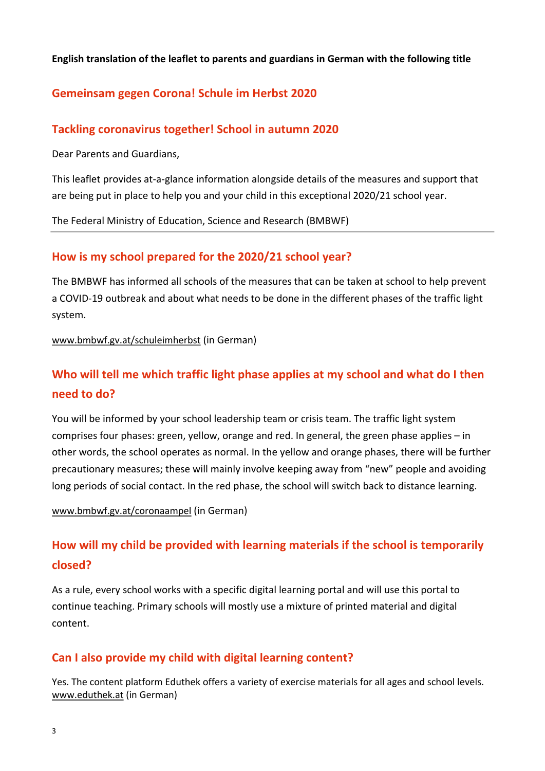#### **English translation of the leaflet to parents and guardians in German with the following title**

### **Gemeinsam gegen Corona! Schule im Herbst 2020**

### **Tackling coronavirus together! School in autumn 2020**

Dear Parents and Guardians,

This leaflet provides at-a-glance information alongside details of the measures and support that are being put in place to help you and your child in this exceptional 2020/21 school year.

The Federal Ministry of Education, Science and Research (BMBWF)

### **How is my school prepared for the 2020/21 school year?**

The BMBWF has informed all schools of the measures that can be taken at school to help prevent a COVID-19 outbreak and about what needs to be done in the different phases of the traffic light system.

[www.bmbwf.gv.at/schuleimherbst](about:blank) (in German)

# **Who will tell me which traffic light phase applies at my school and what do I then need to do?**

You will be informed by your school leadership team or crisis team. The traffic light system comprises four phases: green, yellow, orange and red. In general, the green phase applies – in other words, the school operates as normal. In the yellow and orange phases, there will be further precautionary measures; these will mainly involve keeping away from "new" people and avoiding long periods of social contact. In the red phase, the school will switch back to distance learning.

[www.bmbwf.gv.at/coronaampel](about:blank) (in German)

# **How will my child be provided with learning materials if the school is temporarily closed?**

As a rule, every school works with a specific digital learning portal and will use this portal to continue teaching. Primary schools will mostly use a mixture of printed material and digital content.

### **Can I also provide my child with digital learning content?**

Yes. The content platform Eduthek offers a variety of exercise materials for all ages and school levels. [www.eduthek.at](about:blank) (in German)